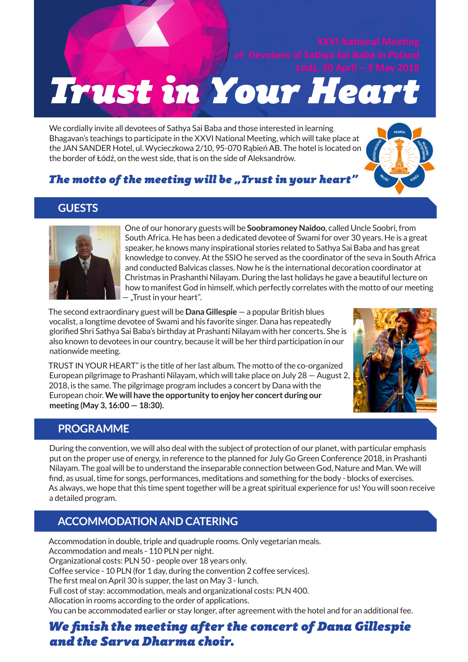# **Trust in Your Heart**

We cordially invite all devotees of Sathya Sai Baba and those interested in learning Bhagavan's teachings to participate in the XXVI National Meeting, which will take place at the JAN SANDER Hotel, ul. Wycieczkowa 2/10, 95-070 Rąbień AB. The hotel is located on the border of Łódź, on the west side, that is on the side of Aleksandrów.



# *The motto of the meeting will be "Trust in your heart"*

## **GUESTS**



One of our honorary guests will be **Soobramoney Naidoo**, called Uncle Soobri, from South Africa. He has been a dedicated devotee of Swami for over 30 years. He is a great speaker, he knows many inspirational stories related to Sathya Sai Baba and has great knowledge to convey. At the SSIO he served as the coordinator of the seva in South Africa and conducted Balvicas classes. Now he is the international decoration coordinator at Christmas in Prashanthi Nilayam. During the last holidays he gave a beautiful lecture on how to manifest God in himself, which perfectly correlates with the motto of our meeting — "Trust in your heart".

The second extraordinary guest will be **Dana Gillespie** — a popular British blues vocalist, a longtime devotee of Swami and his favorite singer. Dana has repeatedly glorified Shri Sathya Sai Baba's birthday at Prashanti Nilayam with her concerts. She is also known to devotees in our country, because it will be her third participation in our nationwide meeting.

TRUST IN YOUR HEART" is the title of her last album. The motto of the co-organized European pilgrimage to Prashanti Nilayam, which will take place on July 28 — August 2, 2018, is the same. The pilgrimage program includes a concert by Dana with the European choir. **We will have the opportunity to enjoy her concert during our meeting (May 3, 16:00 — 18:30).**



#### **PROGRAMME**

During the convention, we will also deal with the subject of protection of our planet, with particular emphasis put on the proper use of energy, in reference to the planned for July Go Green Conference 2018, in Prashanti Nilayam. The goal will be to understand the inseparable connection between God, Nature and Man. We will find, as usual, time for songs, performances, meditations and something for the body - blocks of exercises. As always, we hope that this time spent together will be a great spiritual experience for us! You will soon receive a detailed program.

## **ACCOMMODATION AND CATERING**

Accommodation in double, triple and quadruple rooms. Only vegetarian meals. Accommodation and meals - 110 PLN per night. Organizational costs: PLN 50 - people over 18 years only. Coffee service - 10 PLN (for 1 day, during the convention 2 coffee services). The first meal on April 30 is supper, the last on May 3 - lunch. Full cost of stay: accommodation, meals and organizational costs: PLN 400. Allocation in rooms according to the order of applications. You can be accommodated earlier or stay longer, after agreement with the hotel and for an additional fee.

# *We finish the meeting after the concert of Dana Gillespie and the Sarva Dharma choir.*